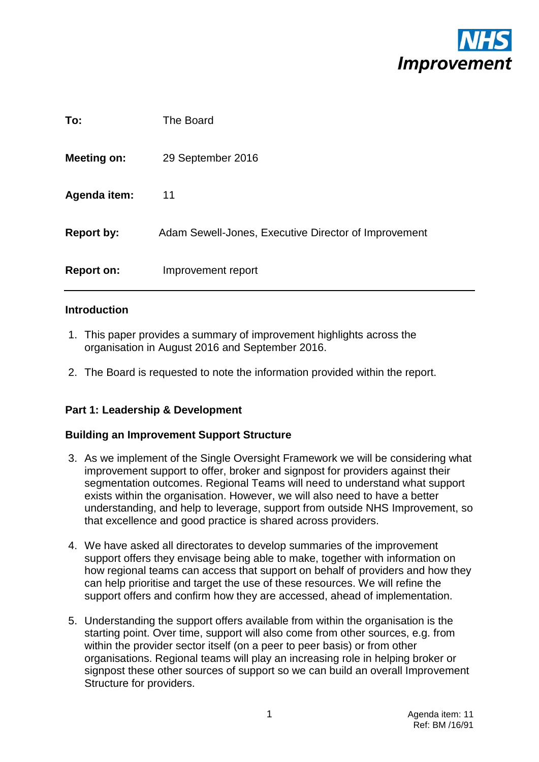

| To:                | The Board                                            |
|--------------------|------------------------------------------------------|
| <b>Meeting on:</b> | 29 September 2016                                    |
| Agenda item:       | 11                                                   |
| <b>Report by:</b>  | Adam Sewell-Jones, Executive Director of Improvement |
| <b>Report on:</b>  | Improvement report                                   |

#### **Introduction**

- 1. This paper provides a summary of improvement highlights across the organisation in August 2016 and September 2016.
- 2. The Board is requested to note the information provided within the report.

#### **Part 1: Leadership & Development**

#### **Building an Improvement Support Structure**

- 3. As we implement of the Single Oversight Framework we will be considering what improvement support to offer, broker and signpost for providers against their segmentation outcomes. Regional Teams will need to understand what support exists within the organisation. However, we will also need to have a better understanding, and help to leverage, support from outside NHS Improvement, so that excellence and good practice is shared across providers.
- 4. We have asked all directorates to develop summaries of the improvement support offers they envisage being able to make, together with information on how regional teams can access that support on behalf of providers and how they can help prioritise and target the use of these resources. We will refine the support offers and confirm how they are accessed, ahead of implementation.
- 5. Understanding the support offers available from within the organisation is the starting point. Over time, support will also come from other sources, e.g. from within the provider sector itself (on a peer to peer basis) or from other organisations. Regional teams will play an increasing role in helping broker or signpost these other sources of support so we can build an overall Improvement Structure for providers.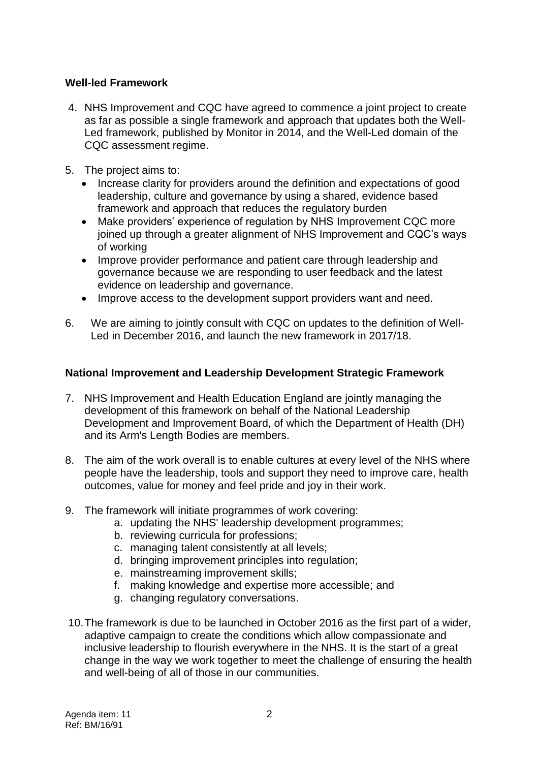# **Well-led Framework**

- 4. NHS Improvement and CQC have agreed to commence a joint project to create as far as possible a single framework and approach that updates both the Well-Led framework, published by Monitor in 2014, and the Well-Led domain of the CQC assessment regime.
- 5. The project aims to:
	- Increase clarity for providers around the definition and expectations of good leadership, culture and governance by using a shared, evidence based framework and approach that reduces the regulatory burden
	- Make providers' experience of regulation by NHS Improvement CQC more joined up through a greater alignment of NHS Improvement and CQC's ways of working
	- Improve provider performance and patient care through leadership and governance because we are responding to user feedback and the latest evidence on leadership and governance.
	- Improve access to the development support providers want and need.
- 6. We are aiming to jointly consult with CQC on updates to the definition of Well-Led in December 2016, and launch the new framework in 2017/18.

## **National Improvement and Leadership Development Strategic Framework**

- 7. NHS Improvement and Health Education England are jointly managing the development of this framework on behalf of the National Leadership Development and Improvement Board, of which the Department of Health (DH) and its Arm's Length Bodies are members.
- 8. The aim of the work overall is to enable cultures at every level of the NHS where people have the leadership, tools and support they need to improve care, health outcomes, value for money and feel pride and joy in their work.
- 9. The framework will initiate programmes of work covering:
	- a. updating the NHS' leadership development programmes;
	- b. reviewing curricula for professions;
	- c. managing talent consistently at all levels;
	- d. bringing improvement principles into regulation;
	- e. mainstreaming improvement skills;
	- f. making knowledge and expertise more accessible; and
	- g. changing regulatory conversations.
- 10.The framework is due to be launched in October 2016 as the first part of a wider, adaptive campaign to create the conditions which allow compassionate and inclusive leadership to flourish everywhere in the NHS. It is the start of a great change in the way we work together to meet the challenge of ensuring the health and well-being of all of those in our communities.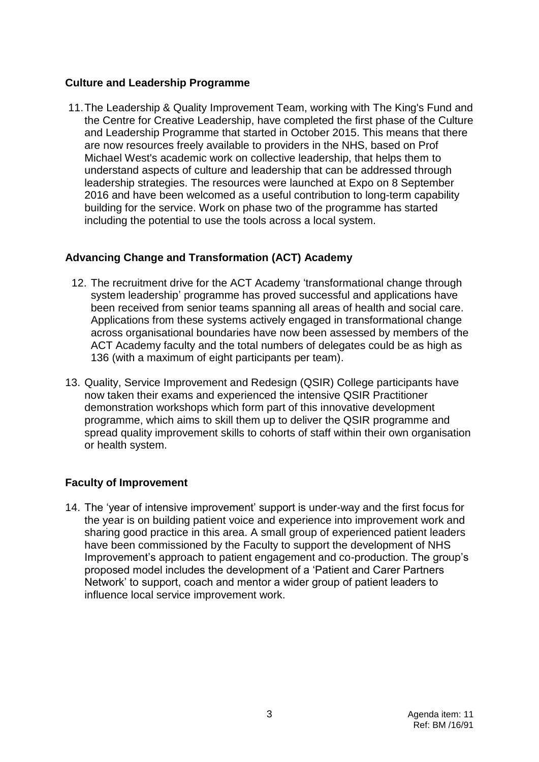## **Culture and Leadership Programme**

11.The Leadership & Quality Improvement Team, working with The King's Fund and the Centre for Creative Leadership, have completed the first phase of the Culture and Leadership Programme that started in October 2015. This means that there are now resources freely available to providers in the NHS, based on Prof Michael West's academic work on collective leadership, that helps them to understand aspects of culture and leadership that can be addressed through leadership strategies. The resources were launched at Expo on 8 September 2016 and have been welcomed as a useful contribution to long-term capability building for the service. Work on phase two of the programme has started including the potential to use the tools across a local system.

## **Advancing Change and Transformation (ACT) Academy**

- 12. The recruitment drive for the ACT Academy 'transformational change through system leadership' programme has proved successful and applications have been received from senior teams spanning all areas of health and social care. Applications from these systems actively engaged in transformational change across organisational boundaries have now been assessed by members of the ACT Academy faculty and the total numbers of delegates could be as high as 136 (with a maximum of eight participants per team).
- 13. Quality, Service Improvement and Redesign (QSIR) College participants have now taken their exams and experienced the intensive QSIR Practitioner demonstration workshops which form part of this innovative development programme, which aims to skill them up to deliver the QSIR programme and spread quality improvement skills to cohorts of staff within their own organisation or health system.

## **Faculty of Improvement**

14. The 'year of intensive improvement' support is under-way and the first focus for the year is on building patient voice and experience into improvement work and sharing good practice in this area. A small group of experienced patient leaders have been commissioned by the Faculty to support the development of NHS Improvement's approach to patient engagement and co-production. The group's proposed model includes the development of a 'Patient and Carer Partners Network' to support, coach and mentor a wider group of patient leaders to influence local service improvement work.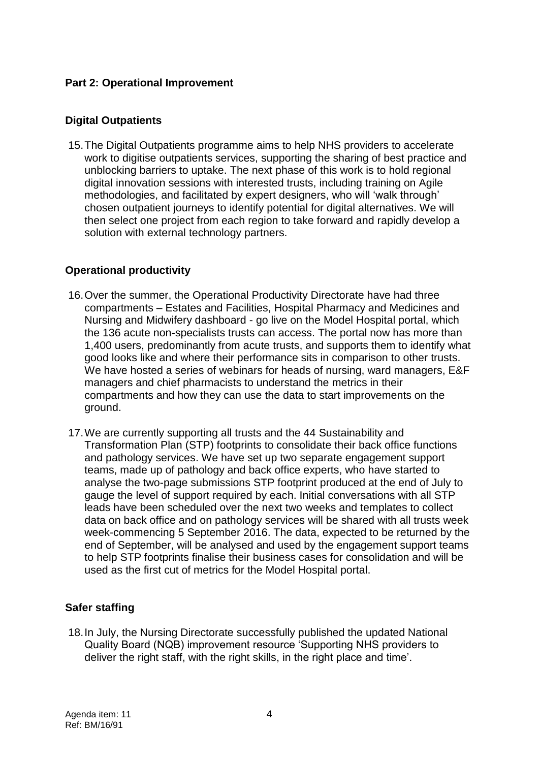# **Part 2: Operational Improvement**

#### **Digital Outpatients**

15.The Digital Outpatients programme aims to help NHS providers to accelerate work to digitise outpatients services, supporting the sharing of best practice and unblocking barriers to uptake. The next phase of this work is to hold regional digital innovation sessions with interested trusts, including training on Agile methodologies, and facilitated by expert designers, who will 'walk through' chosen outpatient journeys to identify potential for digital alternatives. We will then select one project from each region to take forward and rapidly develop a solution with external technology partners.

## **Operational productivity**

- 16.Over the summer, the Operational Productivity Directorate have had three compartments – Estates and Facilities, Hospital Pharmacy and Medicines and Nursing and Midwifery dashboard - go live on the Model Hospital portal, which the 136 acute non-specialists trusts can access. The portal now has more than 1,400 users, predominantly from acute trusts, and supports them to identify what good looks like and where their performance sits in comparison to other trusts. We have hosted a series of webinars for heads of nursing, ward managers, E&F managers and chief pharmacists to understand the metrics in their compartments and how they can use the data to start improvements on the ground.
- 17.We are currently supporting all trusts and the 44 Sustainability and Transformation Plan (STP) footprints to consolidate their back office functions and pathology services. We have set up two separate engagement support teams, made up of pathology and back office experts, who have started to analyse the two-page submissions STP footprint produced at the end of July to gauge the level of support required by each. Initial conversations with all STP leads have been scheduled over the next two weeks and templates to collect data on back office and on pathology services will be shared with all trusts week week-commencing 5 September 2016. The data, expected to be returned by the end of September, will be analysed and used by the engagement support teams to help STP footprints finalise their business cases for consolidation and will be used as the first cut of metrics for the Model Hospital portal.

## **Safer staffing**

18.In July, the Nursing Directorate successfully published the updated National Quality Board (NQB) improvement resource 'Supporting NHS providers to deliver the right staff, with the right skills, in the right place and time'.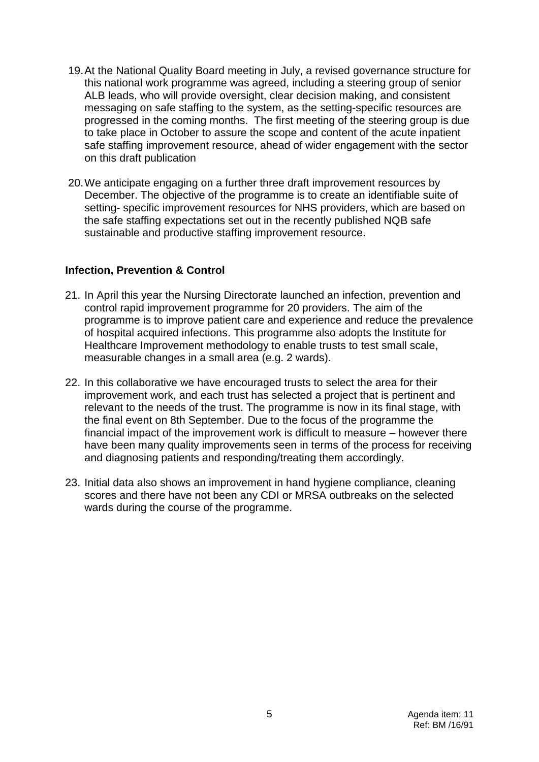- 19.At the National Quality Board meeting in July, a revised governance structure for this national work programme was agreed, including a steering group of senior ALB leads, who will provide oversight, clear decision making, and consistent messaging on safe staffing to the system, as the setting-specific resources are progressed in the coming months. The first meeting of the steering group is due to take place in October to assure the scope and content of the acute inpatient safe staffing improvement resource, ahead of wider engagement with the sector on this draft publication
- 20.We anticipate engaging on a further three draft improvement resources by December. The objective of the programme is to create an identifiable suite of setting- specific improvement resources for NHS providers, which are based on the safe staffing expectations set out in the recently published NQB safe sustainable and productive staffing improvement resource.

#### **Infection, Prevention & Control**

- 21. In April this year the Nursing Directorate launched an infection, prevention and control rapid improvement programme for 20 providers. The aim of the programme is to improve patient care and experience and reduce the prevalence of hospital acquired infections. This programme also adopts the Institute for Healthcare Improvement methodology to enable trusts to test small scale, measurable changes in a small area (e.g. 2 wards).
- 22. In this collaborative we have encouraged trusts to select the area for their improvement work, and each trust has selected a project that is pertinent and relevant to the needs of the trust. The programme is now in its final stage, with the final event on 8th September. Due to the focus of the programme the financial impact of the improvement work is difficult to measure – however there have been many quality improvements seen in terms of the process for receiving and diagnosing patients and responding/treating them accordingly.
- 23. Initial data also shows an improvement in hand hygiene compliance, cleaning scores and there have not been any CDI or MRSA outbreaks on the selected wards during the course of the programme.